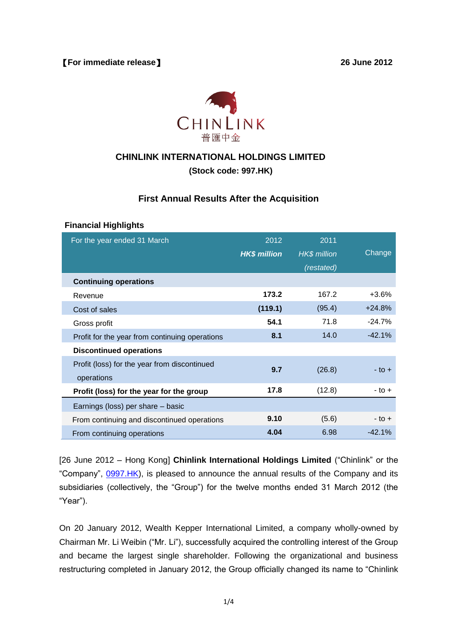

### **CHINLINK INTERNATIONAL HOLDINGS LIMITED**

**(Stock code: 997.HK)**

### **First Annual Results After the Acquisition**

#### **Financial Highlights**

| For the year ended 31 March                                | 2012<br><b>HK\$ million</b> | 2011<br><b>HK\$</b> million<br>(restated) | Change     |
|------------------------------------------------------------|-----------------------------|-------------------------------------------|------------|
| <b>Continuing operations</b>                               |                             |                                           |            |
| Revenue                                                    | 173.2                       | 167.2                                     | $+3.6%$    |
| Cost of sales                                              | (119.1)                     | (95.4)                                    | $+24.8%$   |
| Gross profit                                               | 54.1                        | 71.8                                      | $-24.7%$   |
| Profit for the year from continuing operations             | 8.1                         | 14.0                                      | $-42.1%$   |
| <b>Discontinued operations</b>                             |                             |                                           |            |
| Profit (loss) for the year from discontinued<br>operations | 9.7                         | (26.8)                                    | - to +     |
| Profit (loss) for the year for the group                   | 17.8                        | (12.8)                                    | $-$ to $+$ |
| Earnings (loss) per share – basic                          |                             |                                           |            |
| From continuing and discontinued operations                | 9.10                        | (5.6)                                     | $-$ to $+$ |
| From continuing operations                                 | 4.04                        | 6.98                                      | $-42.1%$   |

[26 June 2012 – Hong Kong] **Chinlink International Holdings Limited** ("Chinlink" or the "Company", [0997.HK\)](http://0997.hk/), is pleased to announce the annual results of the Company and its subsidiaries (collectively, the "Group") for the twelve months ended 31 March 2012 (the "Year").

On 20 January 2012, Wealth Kepper International Limited, a company wholly-owned by Chairman Mr. Li Weibin ("Mr. Li"), successfully acquired the controlling interest of the Group and became the largest single shareholder. Following the organizational and business restructuring completed in January 2012, the Group officially changed its name to "Chinlink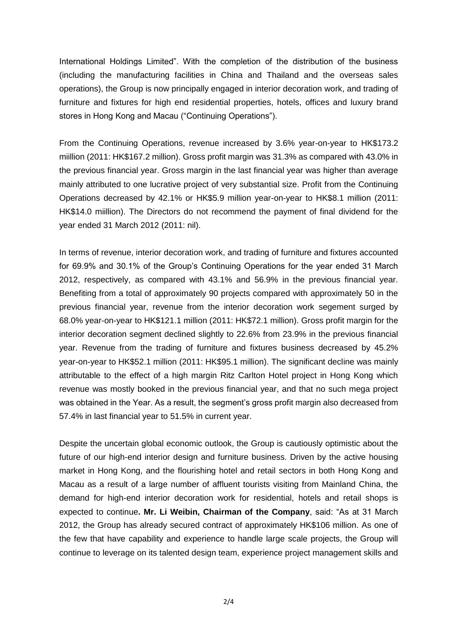International Holdings Limited". With the completion of the distribution of the business (including the manufacturing facilities in China and Thailand and the overseas sales operations), the Group is now principally engaged in interior decoration work, and trading of furniture and fixtures for high end residential properties, hotels, offices and luxury brand stores in Hong Kong and Macau ("Continuing Operations").

From the Continuing Operations, revenue increased by 3.6% year-on-year to HK\$173.2 miillion (2011: HK\$167.2 million). Gross profit margin was 31.3% as compared with 43.0% in the previous financial year. Gross margin in the last financial year was higher than average mainly attributed to one lucrative project of very substantial size. Profit from the Continuing Operations decreased by 42.1% or HK\$5.9 million year-on-year to HK\$8.1 million (2011: HK\$14.0 miillion). The Directors do not recommend the payment of final dividend for the year ended 31 March 2012 (2011: nil).

In terms of revenue, interior decoration work, and trading of furniture and fixtures accounted for 69.9% and 30.1% of the Group's Continuing Operations for the year ended 31 March 2012, respectively, as compared with 43.1% and 56.9% in the previous financial year. Benefiting from a total of approximately 90 projects compared with approximately 50 in the previous financial year, revenue from the interior decoration work segement surged by 68.0% year-on-year to HK\$121.1 million (2011: HK\$72.1 million). Gross profit margin for the interior decoration segment declined slightly to 22.6% from 23.9% in the previous financial year. Revenue from the trading of furniture and fixtures business decreased by 45.2% year-on-year to HK\$52.1 million (2011: HK\$95.1 million). The significant decline was mainly attributable to the effect of a high margin Ritz Carlton Hotel project in Hong Kong which revenue was mostly booked in the previous financial year, and that no such mega project was obtained in the Year. As a result, the segment's gross profit margin also decreased from 57.4% in last financial year to 51.5% in current year.

Despite the uncertain global economic outlook, the Group is cautiously optimistic about the future of our high-end interior design and furniture business. Driven by the active housing market in Hong Kong, and the flourishing hotel and retail sectors in both Hong Kong and Macau as a result of a large number of affluent tourists visiting from Mainland China, the demand for high-end interior decoration work for residential, hotels and retail shops is expected to continue**. Mr. Li Weibin, Chairman of the Company**, said: "As at 31 March 2012, the Group has already secured contract of approximately HK\$106 million. As one of the few that have capability and experience to handle large scale projects, the Group will continue to leverage on its talented design team, experience project management skills and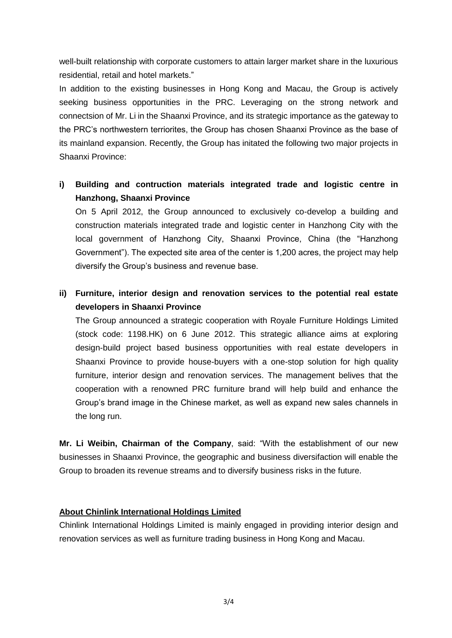well-built relationship with corporate customers to attain larger market share in the luxurious residential, retail and hotel markets."

In addition to the existing businesses in Hong Kong and Macau, the Group is actively seeking business opportunities in the PRC. Leveraging on the strong network and connectsion of Mr. Li in the Shaanxi Province, and its strategic importance as the gateway to the PRC's northwestern terriorites, the Group has chosen Shaanxi Province as the base of its mainland expansion. Recently, the Group has initated the following two major projects in Shaanxi Province:

# **i) Building and contruction materials integrated trade and logistic centre in Hanzhong, Shaanxi Province**

On 5 April 2012, the Group announced to exclusively co-develop a building and construction materials integrated trade and logistic center in Hanzhong City with the local government of Hanzhong City, Shaanxi Province, China (the "Hanzhong Government"). The expected site area of the center is 1,200 acres, the project may help diversify the Group's business and revenue base.

# **ii) Furniture, interior design and renovation services to the potential real estate developers in Shaanxi Province**

The Group announced a strategic cooperation with Royale Furniture Holdings Limited (stock code: 1198.HK) on 6 June 2012. This strategic alliance aims at exploring design-build project based business opportunities with real estate developers in Shaanxi Province to provide house-buyers with a one-stop solution for high quality furniture, interior design and renovation services. The management belives that the cooperation with a renowned PRC furniture brand will help build and enhance the Group's brand image in the Chinese market, as well as expand new sales channels in the long run.

**Mr. Li Weibin, Chairman of the Company**, said: "With the establishment of our new businesses in Shaanxi Province, the geographic and business diversifaction will enable the Group to broaden its revenue streams and to diversify business risks in the future.

### **About Chinlink International Holdings Limited**

Chinlink International Holdings Limited is mainly engaged in providing interior design and renovation services as well as furniture trading business in Hong Kong and Macau.